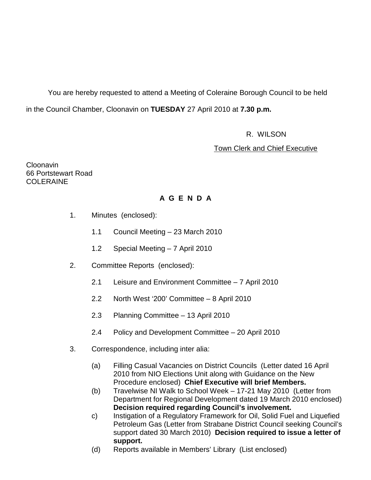You are hereby requested to attend a Meeting of Coleraine Borough Council to be held in the Council Chamber, Cloonavin on **TUESDAY** 27 April 2010 at **7.30 p.m.** 

R. WILSON

Town Clerk and Chief Executive

Cloonavin 66 Portstewart Road COLERAINE

# **A G E N D A**

- 1. Minutes (enclosed):
	- 1.1 Council Meeting 23 March 2010
	- 1.2 Special Meeting 7 April 2010
- 2. Committee Reports (enclosed):
	- 2.1 Leisure and Environment Committee 7 April 2010
	- 2.2 North West '200' Committee 8 April 2010
	- 2.3 Planning Committee 13 April 2010
	- 2.4 Policy and Development Committee 20 April 2010
- 3. Correspondence, including inter alia:
	- (a) Filling Casual Vacancies on District Councils (Letter dated 16 April 2010 from NIO Elections Unit along with Guidance on the New Procedure enclosed) **Chief Executive will brief Members.**
	- (b) Travelwise NI Walk to School Week 17-21 May 2010 (Letter from Department for Regional Development dated 19 March 2010 enclosed) **Decision required regarding Council's involvement.**
	- c) Instigation of a Regulatory Framework for Oil, Solid Fuel and Liquefied Petroleum Gas (Letter from Strabane District Council seeking Council's support dated 30 March 2010) **Decision required to issue a letter of support.**
	- (d) Reports available in Members' Library (List enclosed)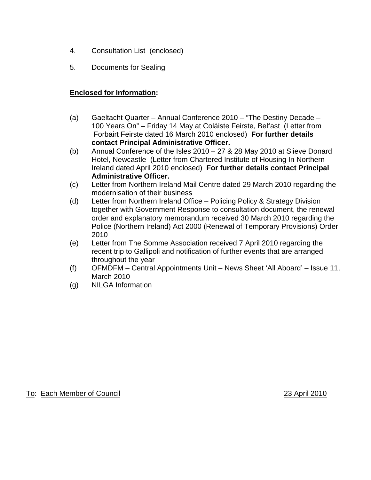- 4. Consultation List (enclosed)
- 5. Documents for Sealing

# **Enclosed for Information:**

- (a) Gaeltacht Quarter Annual Conference 2010 "The Destiny Decade 100 Years On" – Friday 14 May at Coláiste Feirste, Belfast (Letter from Forbairt Feirste dated 16 March 2010 enclosed) **For further details contact Principal Administrative Officer.**
- (b) Annual Conference of the Isles 2010 27 & 28 May 2010 at Slieve Donard Hotel, Newcastle (Letter from Chartered Institute of Housing In Northern Ireland dated April 2010 enclosed) **For further details contact Principal Administrative Officer.**
- (c) Letter from Northern Ireland Mail Centre dated 29 March 2010 regarding the modernisation of their business
- (d) Letter from Northern Ireland Office Policing Policy & Strategy Division together with Government Response to consultation document, the renewal order and explanatory memorandum received 30 March 2010 regarding the Police (Northern Ireland) Act 2000 (Renewal of Temporary Provisions) Order 2010
- (e) Letter from The Somme Association received 7 April 2010 regarding the recent trip to Gallipoli and notification of further events that are arranged throughout the year
- (f) OFMDFM Central Appointments Unit News Sheet 'All Aboard' Issue 11, March 2010
- (g) NILGA Information

To: Each Member of Council 23 April 2010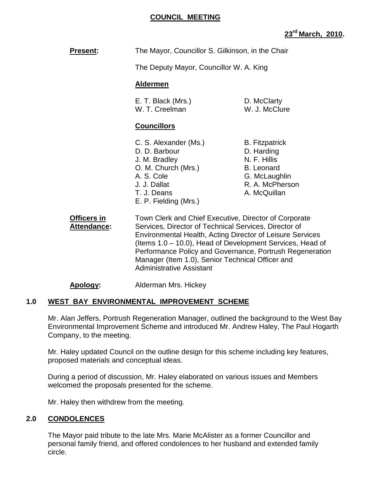### **COUNCIL MEETING**

# **23rd March, 2010.**

| <u> Present:</u>           | The Mayor, Councillor S. Gilkinson, in the Chair                                                                                                                           |                                                                                                                              |
|----------------------------|----------------------------------------------------------------------------------------------------------------------------------------------------------------------------|------------------------------------------------------------------------------------------------------------------------------|
|                            | The Deputy Mayor, Councillor W. A. King                                                                                                                                    |                                                                                                                              |
|                            | <b>Aldermen</b>                                                                                                                                                            |                                                                                                                              |
|                            | E. T. Black (Mrs.)<br>W. T. Creelman                                                                                                                                       | D. McClarty<br>W. J. McClure                                                                                                 |
|                            | <b>Councillors</b>                                                                                                                                                         |                                                                                                                              |
|                            | C. S. Alexander (Ms.)<br>D. D. Barbour<br>J. M. Bradley<br>O. M. Church (Mrs.)<br>A. S. Cole<br>J. J. Dallat<br>T. J. Deans<br>E. P. Fielding (Mrs.)                       | <b>B.</b> Fitzpatrick<br>D. Harding<br>N. F. Hillis<br><b>B.</b> Leonard<br>G. McLaughlin<br>R. A. McPherson<br>A. McQuillan |
| Officers in<br>Attendance: | Town Clerk and Chief Executive, Director of Corporate<br>Services, Director of Technical Services, Director of<br>Environmental Health Acting Director of Leisure Services |                                                                                                                              |

Environmental Health, Acting Director of Leisure Services (Items 1.0 – 10.0), Head of Development Services, Head of Performance Policy and Governance, Portrush Regeneration Manager (Item 1.0), Senior Technical Officer and Administrative Assistant

**Apology:** Alderman Mrs. Hickey

### **1.0 WEST BAY ENVIRONMENTAL IMPROVEMENT SCHEME**

Mr. Alan Jeffers, Portrush Regeneration Manager, outlined the background to the West Bay Environmental Improvement Scheme and introduced Mr. Andrew Haley, The Paul Hogarth Company, to the meeting.

Mr. Haley updated Council on the outline design for this scheme including key features, proposed materials and conceptual ideas.

During a period of discussion, Mr. Haley elaborated on various issues and Members welcomed the proposals presented for the scheme.

Mr. Haley then withdrew from the meeting.

#### **2.0 CONDOLENCES**

The Mayor paid tribute to the late Mrs. Marie McAlister as a former Councillor and personal family friend, and offered condolences to her husband and extended family circle.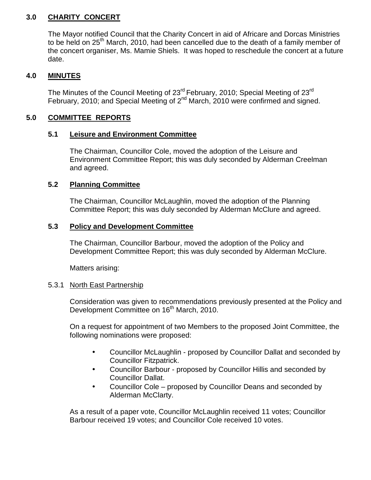### **3.0 CHARITY CONCERT**

The Mayor notified Council that the Charity Concert in aid of Africare and Dorcas Ministries to be held on 25<sup>th</sup> March, 2010, had been cancelled due to the death of a family member of the concert organiser, Ms. Mamie Shiels. It was hoped to reschedule the concert at a future date.

#### **4.0 MINUTES**

The Minutes of the Council Meeting of 23<sup>rd</sup> February, 2010; Special Meeting of 23<sup>rd</sup> February, 2010; and Special Meeting of  $2^{nd}$  March, 2010 were confirmed and signed.

### **5.0 COMMITTEE REPORTS**

#### **5.1 Leisure and Environment Committee**

 The Chairman, Councillor Cole, moved the adoption of the Leisure and Environment Committee Report; this was duly seconded by Alderman Creelman and agreed.

### **5.2 Planning Committee**

 The Chairman, Councillor McLaughlin, moved the adoption of the Planning Committee Report; this was duly seconded by Alderman McClure and agreed.

#### **5.3 Policy and Development Committee**

 The Chairman, Councillor Barbour, moved the adoption of the Policy and Development Committee Report; this was duly seconded by Alderman McClure.

Matters arising:

#### 5.3.1 North East Partnership

Consideration was given to recommendations previously presented at the Policy and Development Committee on 16<sup>th</sup> March, 2010.

On a request for appointment of two Members to the proposed Joint Committee, the following nominations were proposed:

- Councillor McLaughlin proposed by Councillor Dallat and seconded by Councillor Fitzpatrick.
- Councillor Barbour proposed by Councillor Hillis and seconded by Councillor Dallat.
- Councillor Cole proposed by Councillor Deans and seconded by Alderman McClarty.

 As a result of a paper vote, Councillor McLaughlin received 11 votes; Councillor Barbour received 19 votes; and Councillor Cole received 10 votes.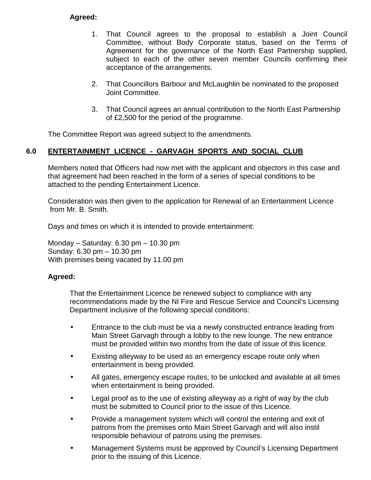# **Agreed:**

- 1. That Council agrees to the proposal to establish a Joint Council Committee, without Body Corporate status, based on the Terms of Agreement for the governance of the North East Partnership supplied, subject to each of the other seven member Councils confirming their acceptance of the arrangements.
- 2. That Councillors Barbour and McLaughlin be nominated to the proposed Joint Committee.
- 3. That Council agrees an annual contribution to the North East Partnership of £2,500 for the period of the programme.

The Committee Report was agreed subject to the amendments.

# **6.0 ENTERTAINMENT LICENCE - GARVAGH SPORTS AND SOCIAL CLUB**

Members noted that Officers had now met with the applicant and objectors in this case and that agreement had been reached in the form of a series of special conditions to be attached to the pending Entertainment Licence.

 Consideration was then given to the application for Renewal of an Entertainment Licence from Mr. B. Smith.

Days and times on which it is intended to provide entertainment:

 Monday – Saturday: 6.30 pm – 10.30 pm Sunday: 6.30 pm – 10.30 pm With premises being vacated by 11.00 pm

### **Agreed:**

 That the Entertainment Licence be renewed subject to compliance with any recommendations made by the NI Fire and Rescue Service and Council's Licensing Department inclusive of the following special conditions:

- Entrance to the club must be via a newly constructed entrance leading from Main Street Garvagh through a lobby to the new lounge. The new entrance must be provided within two months from the date of issue of this licence.
- Existing alleyway to be used as an emergency escape route only when entertainment is being provided.
- All gates, emergency escape routes, to be unlocked and available at all times when entertainment is being provided.
- Legal proof as to the use of existing alleyway as a right of way by the club must be submitted to Council prior to the issue of this Licence.
- Provide a management system which will control the entering and exit of patrons from the premises onto Main Street Garvagh and will also instil responsible behaviour of patrons using the premises.
- Management Systems must be approved by Council's Licensing Department prior to the issuing of this Licence.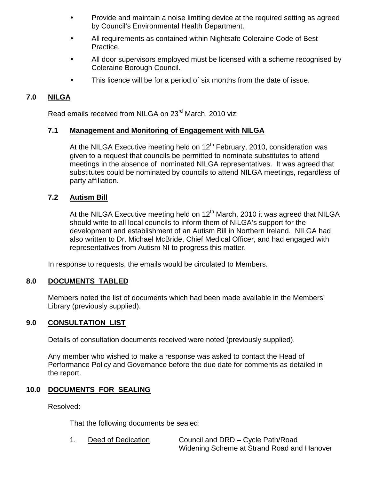- Provide and maintain a noise limiting device at the required setting as agreed by Council's Environmental Health Department.
- All requirements as contained within Nightsafe Coleraine Code of Best Practice.
- All door supervisors employed must be licensed with a scheme recognised by Coleraine Borough Council.
- This licence will be for a period of six months from the date of issue.

# **7.0 NILGA**

Read emails received from NILGA on 23<sup>rd</sup> March, 2010 viz:

### **7.1 Management and Monitoring of Engagement with NILGA**

At the NILGA Executive meeting held on  $12<sup>th</sup>$  February, 2010, consideration was given to a request that councils be permitted to nominate substitutes to attend meetings in the absence of nominated NILGA representatives. It was agreed that substitutes could be nominated by councils to attend NILGA meetings, regardless of party affiliation.

### **7.2 Autism Bill**

At the NILGA Executive meeting held on  $12<sup>th</sup>$  March, 2010 it was agreed that NILGA should write to all local councils to inform them of NILGA's support for the development and establishment of an Autism Bill in Northern Ireland. NILGA had also written to Dr. Michael McBride, Chief Medical Officer, and had engaged with representatives from Autism NI to progress this matter.

In response to requests, the emails would be circulated to Members.

### **8.0 DOCUMENTS TABLED**

 Members noted the list of documents which had been made available in the Members' Library (previously supplied).

#### **9.0 CONSULTATION LIST**

Details of consultation documents received were noted (previously supplied).

 Any member who wished to make a response was asked to contact the Head of Performance Policy and Governance before the due date for comments as detailed in the report.

### **10.0 DOCUMENTS FOR SEALING**

Resolved:

That the following documents be sealed:

1. Deed of Dedication Council and DRD – Cycle Path/Road Widening Scheme at Strand Road and Hanover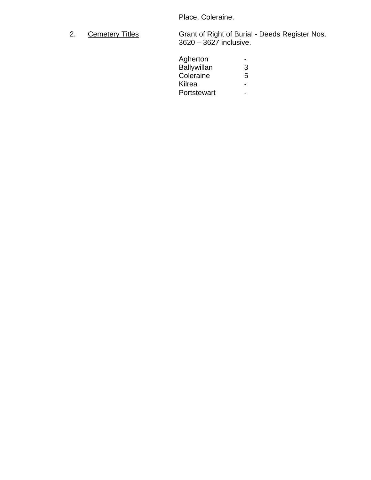Place, Coleraine.

2. Cemetery Titles Grant of Right of Burial - Deeds Register Nos. 3620 – 3627 inclusive.

| Agherton           |   |
|--------------------|---|
| <b>Ballywillan</b> | 3 |
| Coleraine          | 5 |
| Kilrea             |   |
| Portstewart        |   |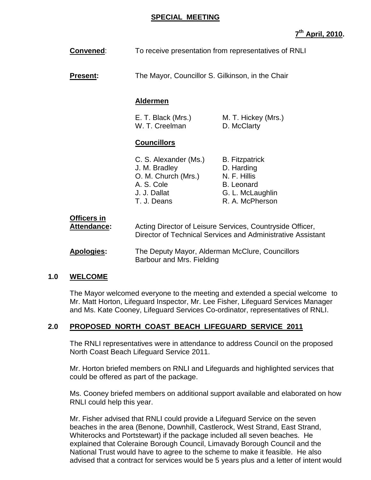### **SPECIAL MEETING**

| <u>Convened:</u>                         | To receive presentation from representatives of RNLI                                                       |                                                                                                                          |  |
|------------------------------------------|------------------------------------------------------------------------------------------------------------|--------------------------------------------------------------------------------------------------------------------------|--|
| <b>Present:</b>                          | The Mayor, Councillor S. Gilkinson, in the Chair                                                           |                                                                                                                          |  |
|                                          | <b>Aldermen</b>                                                                                            |                                                                                                                          |  |
|                                          | E. T. Black (Mrs.)<br>W. T. Creelman                                                                       | M. T. Hickey (Mrs.)<br>D. McClarty                                                                                       |  |
|                                          | <b>Councillors</b>                                                                                         |                                                                                                                          |  |
|                                          | C. S. Alexander (Ms.)<br>J. M. Bradley<br>O. M. Church (Mrs.)<br>A. S. Cole<br>J. J. Dallat<br>T. J. Deans | <b>B.</b> Fitzpatrick<br>D. Harding<br>N. F. Hillis<br><b>B.</b> Leonard<br>G. L. McLaughlin<br>R. A. McPherson          |  |
| <b>Officers in</b><br><u>Attendance:</u> |                                                                                                            | Acting Director of Leisure Services, Countryside Officer,<br>Director of Technical Services and Administrative Assistant |  |
| Apologies:                               | The Deputy Mayor, Alderman McClure, Councillors<br>Barbour and Mrs. Fielding                               |                                                                                                                          |  |

#### **1.0 WELCOME**

 The Mayor welcomed everyone to the meeting and extended a special welcome to Mr. Matt Horton, Lifeguard Inspector, Mr. Lee Fisher, Lifeguard Services Manager and Ms. Kate Cooney, Lifeguard Services Co-ordinator, representatives of RNLI.

### **2.0 PROPOSED NORTH COAST BEACH LIFEGUARD SERVICE 2011**

 The RNLI representatives were in attendance to address Council on the proposed North Coast Beach Lifeguard Service 2011.

 Mr. Horton briefed members on RNLI and Lifeguards and highlighted services that could be offered as part of the package.

Ms. Cooney briefed members on additional support available and elaborated on how RNLI could help this year.

Mr. Fisher advised that RNLI could provide a Lifeguard Service on the seven beaches in the area (Benone, Downhill, Castlerock, West Strand, East Strand, Whiterocks and Portstewart) if the package included all seven beaches. He explained that Coleraine Borough Council, Limavady Borough Council and the National Trust would have to agree to the scheme to make it feasible. He also advised that a contract for services would be 5 years plus and a letter of intent would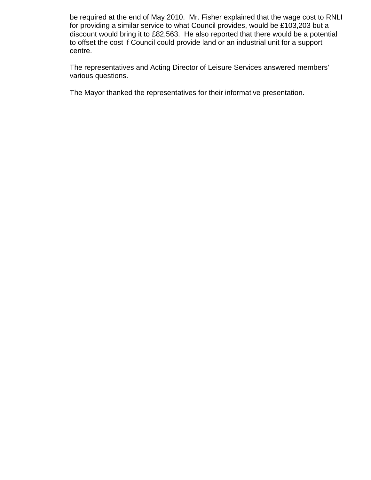be required at the end of May 2010. Mr. Fisher explained that the wage cost to RNLI for providing a similar service to what Council provides, would be £103,203 but a discount would bring it to £82,563. He also reported that there would be a potential to offset the cost if Council could provide land or an industrial unit for a support centre.

 The representatives and Acting Director of Leisure Services answered members' various questions.

The Mayor thanked the representatives for their informative presentation.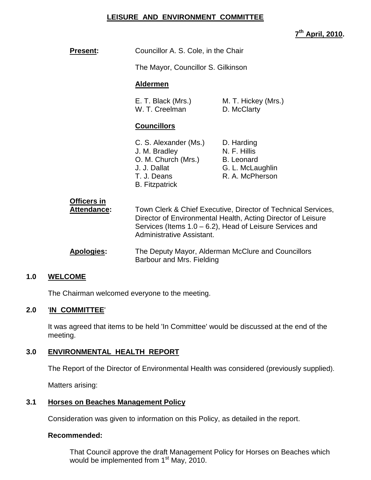## **LEISURE AND ENVIRONMENT COMMITTEE**

**7 th April, 2010.** 

| <b>Present:</b>                          | Councillor A. S. Cole, in the Chair                                                                                   |                                                                                                                                                                                           |
|------------------------------------------|-----------------------------------------------------------------------------------------------------------------------|-------------------------------------------------------------------------------------------------------------------------------------------------------------------------------------------|
|                                          | The Mayor, Councillor S. Gilkinson                                                                                    |                                                                                                                                                                                           |
|                                          | <b>Aldermen</b>                                                                                                       |                                                                                                                                                                                           |
|                                          | E. T. Black (Mrs.)<br>W. T. Creelman                                                                                  | M. T. Hickey (Mrs.)<br>D. McClarty                                                                                                                                                        |
|                                          | <b>Councillors</b>                                                                                                    |                                                                                                                                                                                           |
|                                          | C. S. Alexander (Ms.)<br>J. M. Bradley<br>O. M. Church (Mrs.)<br>J. J. Dallat<br>T. J. Deans<br><b>B.</b> Fitzpatrick | D. Harding<br>N. F. Hillis<br><b>B.</b> Leonard<br>G. L. McLaughlin<br>R. A. McPherson                                                                                                    |
| <b>Officers in</b><br><b>Attendance:</b> | Administrative Assistant.                                                                                             | Town Clerk & Chief Executive, Director of Technical Services,<br>Director of Environmental Health, Acting Director of Leisure<br>Services (Items 1.0 – 6.2), Head of Leisure Services and |
| Apologies:                               | Barbour and Mrs. Fielding                                                                                             | The Deputy Mayor, Alderman McClure and Councillors                                                                                                                                        |

#### **1.0 WELCOME**

The Chairman welcomed everyone to the meeting.

#### **2.0** '**IN COMMITTEE**'

 It was agreed that items to be held 'In Committee' would be discussed at the end of the meeting.

#### **3.0 ENVIRONMENTAL HEALTH REPORT**

The Report of the Director of Environmental Health was considered (previously supplied).

Matters arising:

#### **3.1 Horses on Beaches Management Policy**

Consideration was given to information on this Policy, as detailed in the report.

#### **Recommended:**

 That Council approve the draft Management Policy for Horses on Beaches which would be implemented from 1<sup>st</sup> May, 2010.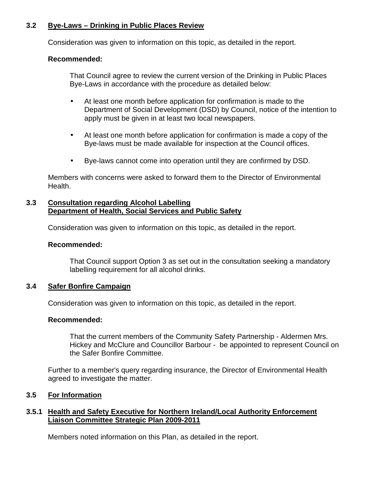### **3.2 Bye-Laws – Drinking in Public Places Review**

Consideration was given to information on this topic, as detailed in the report.

#### **Recommended:**

 That Council agree to review the current version of the Drinking in Public Places Bye-Laws in accordance with the procedure as detailed below:

- At least one month before application for confirmation is made to the Department of Social Development (DSD) by Council, notice of the intention to apply must be given in at least two local newspapers.
- At least one month before application for confirmation is made a copy of the Bye-laws must be made available for inspection at the Council offices.
- Bye-laws cannot come into operation until they are confirmed by DSD.

 Members with concerns were asked to forward them to the Director of Environmental Health.

#### **3.3 Consultation regarding Alcohol Labelling Department of Health, Social Services and Public Safety**

Consideration was given to information on this topic, as detailed in the report.

#### **Recommended:**

 That Council support Option 3 as set out in the consultation seeking a mandatory labelling requirement for all alcohol drinks.

### **3.4 Safer Bonfire Campaign**

Consideration was given to information on this topic, as detailed in the report.

#### **Recommended:**

That the current members of the Community Safety Partnership - Aldermen Mrs. Hickey and McClure and Councillor Barbour - be appointed to represent Council on the Safer Bonfire Committee.

 Further to a member's query regarding insurance, the Director of Environmental Health agreed to investigate the matter.

### **3.5 For Information**

### **3.5.1 Health and Safety Executive for Northern Ireland/Local Authority Enforcement Liaison Committee Strategic Plan 2009-2011**

Members noted information on this Plan, as detailed in the report.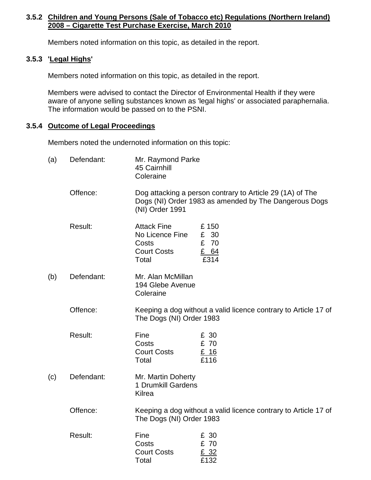#### **3.5.2 Children and Young Persons (Sale of Tobacco etc) Regulations (Northern Ireland) 2008 – Cigarette Test Purchase Exercise, March 2010**

Members noted information on this topic, as detailed in the report.

### **3.5.3 'Legal Highs'**

Members noted information on this topic, as detailed in the report.

 Members were advised to contact the Director of Environmental Health if they were aware of anyone selling substances known as 'legal highs' or associated paraphernalia. The information would be passed on to the PSNI.

### **3.5.4 Outcome of Legal Proceedings**

Members noted the undernoted information on this topic:

| (a) | Defendant: | Mr. Raymond Parke<br>45 Cairnhill<br>Coleraine                                |                                                                                                                    |
|-----|------------|-------------------------------------------------------------------------------|--------------------------------------------------------------------------------------------------------------------|
|     | Offence:   | (NI) Order 1991                                                               | Dog attacking a person contrary to Article 29 (1A) of The<br>Dogs (NI) Order 1983 as amended by The Dangerous Dogs |
|     | Result:    | <b>Attack Fine</b><br>No Licence Fine<br>Costs<br><b>Court Costs</b><br>Total | £150<br>£ 30<br>£ 70<br>£ 64<br>£314                                                                               |
| (b) | Defendant: | Mr. Alan McMillan<br>194 Glebe Avenue<br>Coleraine                            |                                                                                                                    |
|     | Offence:   | The Dogs (NI) Order 1983                                                      | Keeping a dog without a valid licence contrary to Article 17 of                                                    |
|     | Result:    | Fine<br>Costs<br><b>Court Costs</b><br>Total                                  | £ 30<br>£ 70<br>£ 16<br>£116                                                                                       |
| (c) | Defendant: | Mr. Martin Doherty<br>1 Drumkill Gardens<br>Kilrea                            |                                                                                                                    |
|     | Offence:   | The Dogs (NI) Order 1983                                                      | Keeping a dog without a valid licence contrary to Article 17 of                                                    |
|     | Result:    | Fine<br>Costs<br><b>Court Costs</b><br>Total                                  | £ 30<br>£ 70<br>£ 32<br>£132                                                                                       |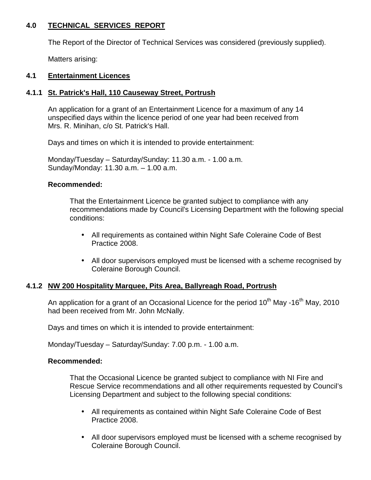### **4.0 TECHNICAL SERVICES REPORT**

The Report of the Director of Technical Services was considered (previously supplied).

Matters arising:

#### **4.1 Entertainment Licences**

### **4.1.1 St. Patrick's Hall, 110 Causeway Street, Portrush**

 An application for a grant of an Entertainment Licence for a maximum of any 14 unspecified days within the licence period of one year had been received from Mrs. R. Minihan, c/o St. Patrick's Hall.

Days and times on which it is intended to provide entertainment:

 Monday/Tuesday – Saturday/Sunday: 11.30 a.m. - 1.00 a.m. Sunday/Monday: 11.30 a.m. – 1.00 a.m.

#### **Recommended:**

 That the Entertainment Licence be granted subject to compliance with any recommendations made by Council's Licensing Department with the following special conditions:

- All requirements as contained within Night Safe Coleraine Code of Best Practice 2008.
- All door supervisors employed must be licensed with a scheme recognised by Coleraine Borough Council.

#### **4.1.2 NW 200 Hospitality Marquee, Pits Area, Ballyreagh Road, Portrush**

An application for a grant of an Occasional Licence for the period 10<sup>th</sup> May -16<sup>th</sup> May, 2010 had been received from Mr. John McNally.

Days and times on which it is intended to provide entertainment:

Monday/Tuesday – Saturday/Sunday: 7.00 p.m. - 1.00 a.m.

#### **Recommended:**

That the Occasional Licence be granted subject to compliance with NI Fire and Rescue Service recommendations and all other requirements requested by Council's Licensing Department and subject to the following special conditions:

- All requirements as contained within Night Safe Coleraine Code of Best Practice 2008.
- All door supervisors employed must be licensed with a scheme recognised by Coleraine Borough Council.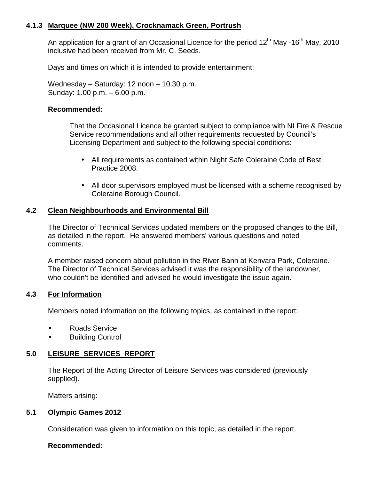#### **4.1.3 Marquee (NW 200 Week), Crocknamack Green, Portrush**

An application for a grant of an Occasional Licence for the period  $12<sup>th</sup>$  May -16<sup>th</sup> May, 2010 inclusive had been received from Mr. C. Seeds.

Days and times on which it is intended to provide entertainment:

 Wednesday – Saturday: 12 noon – 10.30 p.m. Sunday: 1.00 p.m. – 6.00 p.m.

#### **Recommended:**

That the Occasional Licence be granted subject to compliance with NI Fire & Rescue Service recommendations and all other requirements requested by Council's Licensing Department and subject to the following special conditions:

- All requirements as contained within Night Safe Coleraine Code of Best Practice 2008.
- All door supervisors employed must be licensed with a scheme recognised by Coleraine Borough Council.

#### **4.2 Clean Neighbourhoods and Environmental Bill**

 The Director of Technical Services updated members on the proposed changes to the Bill, as detailed in the report. He answered members' various questions and noted comments.

 A member raised concern about pollution in the River Bann at Kenvara Park, Coleraine. The Director of Technical Services advised it was the responsibility of the landowner, who couldn't be identified and advised he would investigate the issue again.

#### **4.3 For Information**

Members noted information on the following topics, as contained in the report:

- Roads Service
- Building Control

#### **5.0 LEISURE SERVICES REPORT**

 The Report of the Acting Director of Leisure Services was considered (previously supplied).

Matters arising:

#### **5.1 Olympic Games 2012**

Consideration was given to information on this topic, as detailed in the report.

#### **Recommended:**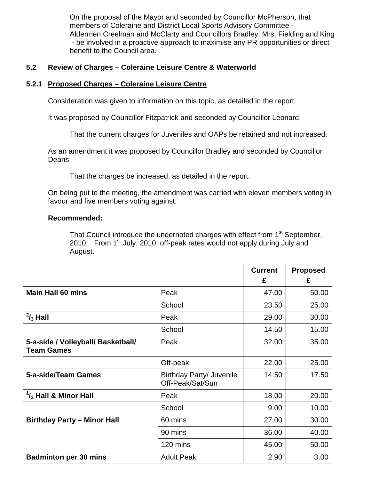On the proposal of the Mayor and seconded by Councillor McPherson, that members of Coleraine and District Local Sports Advisory Committee - Aldermen Creelman and McClarty and Councillors Bradley, Mrs. Fielding and King - be involved in a proactive approach to maximise any PR opportunities or direct benefit to the Council area.

#### **5.2 Review of Charges – Coleraine Leisure Centre & Waterworld**

#### **5.2.1 Proposed Charges – Coleraine Leisure Centre**

Consideration was given to information on this topic, as detailed in the report.

It was proposed by Councillor Fitzpatrick and seconded by Councillor Leonard:

That the current charges for Juveniles and OAPs be retained and not increased.

 As an amendment it was proposed by Councillor Bradley and seconded by Councillor Deans:

That the charges be increased, as detailed in the report.

 On being put to the meeting, the amendment was carried with eleven members voting in favour and five members voting against.

#### **Recommended:**

That Council introduce the undernoted charges with effect from 1<sup>st</sup> September, 2010. From  $1<sup>st</sup>$  July, 2010, off-peak rates would not apply during July and August.

|                                                         |                                              | <b>Current</b><br>£ | <b>Proposed</b><br>£ |
|---------------------------------------------------------|----------------------------------------------|---------------------|----------------------|
| <b>Main Hall 60 mins</b>                                | Peak                                         | 47.00               | 50.00                |
|                                                         | School                                       | 23.50               | 25.00                |
| $^{2}/_{3}$ Hall                                        | Peak                                         | 29.00               | 30.00                |
|                                                         | School                                       | 14.50               | 15.00                |
| 5-a-side / Volleyball/ Basketball/<br><b>Team Games</b> | Peak                                         | 32.00               | 35.00                |
|                                                         | Off-peak                                     | 22.00               | 25.00                |
| 5-a-side/Team Games                                     | Birthday Party/ Juvenile<br>Off-Peak/Sat/Sun | 14.50               | 17.50                |
| $\frac{1}{3}$ Hall & Minor Hall                         | Peak                                         | 18.00               | 20.00                |
|                                                         | School                                       | 9.00                | 10.00                |
| <b>Birthday Party - Minor Hall</b>                      | 60 mins                                      | 27.00               | 30.00                |
|                                                         | 90 mins                                      | 36.00               | 40.00                |
|                                                         | 120 mins                                     | 45.00               | 50.00                |
| <b>Badminton per 30 mins</b>                            | <b>Adult Peak</b>                            | 2.90                | 3.00                 |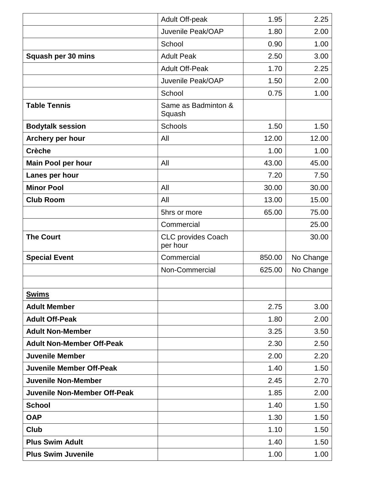|                                     | Adult Off-peak                        | 1.95   | 2.25      |
|-------------------------------------|---------------------------------------|--------|-----------|
|                                     | Juvenile Peak/OAP                     | 1.80   | 2.00      |
|                                     | School                                | 0.90   | 1.00      |
| Squash per 30 mins                  | <b>Adult Peak</b>                     | 2.50   | 3.00      |
|                                     | <b>Adult Off-Peak</b>                 | 1.70   | 2.25      |
|                                     | Juvenile Peak/OAP                     | 1.50   | 2.00      |
|                                     | School                                | 0.75   | 1.00      |
| <b>Table Tennis</b>                 | Same as Badminton &<br>Squash         |        |           |
| <b>Bodytalk session</b>             | Schools                               | 1.50   | 1.50      |
| Archery per hour                    | All                                   | 12.00  | 12.00     |
| <b>Crèche</b>                       |                                       | 1.00   | 1.00      |
| <b>Main Pool per hour</b>           | All                                   | 43.00  | 45.00     |
| Lanes per hour                      |                                       | 7.20   | 7.50      |
| <b>Minor Pool</b>                   | All                                   | 30.00  | 30.00     |
| <b>Club Room</b>                    | All                                   | 13.00  | 15.00     |
|                                     | 5hrs or more                          | 65.00  | 75.00     |
|                                     | Commercial                            |        | 25.00     |
| <b>The Court</b>                    | <b>CLC provides Coach</b><br>per hour |        | 30.00     |
| <b>Special Event</b>                | Commercial                            | 850.00 | No Change |
|                                     | Non-Commercial                        | 625.00 | No Change |
|                                     |                                       |        |           |
| <b>Swims</b>                        |                                       |        |           |
| <b>Adult Member</b>                 |                                       | 2.75   | 3.00      |
| <b>Adult Off-Peak</b>               |                                       | 1.80   | 2.00      |
| <b>Adult Non-Member</b>             |                                       | 3.25   | 3.50      |
| <b>Adult Non-Member Off-Peak</b>    |                                       | 2.30   | 2.50      |
| <b>Juvenile Member</b>              |                                       | 2.00   | 2.20      |
| <b>Juvenile Member Off-Peak</b>     |                                       | 1.40   | 1.50      |
| <b>Juvenile Non-Member</b>          |                                       | 2.45   | 2.70      |
| <b>Juvenile Non-Member Off-Peak</b> |                                       | 1.85   | 2.00      |
| <b>School</b>                       |                                       | 1.40   | 1.50      |
| <b>OAP</b>                          |                                       | 1.30   | 1.50      |
| Club                                |                                       | 1.10   | 1.50      |
| <b>Plus Swim Adult</b>              |                                       | 1.40   | 1.50      |
| <b>Plus Swim Juvenile</b>           |                                       | 1.00   | 1.00      |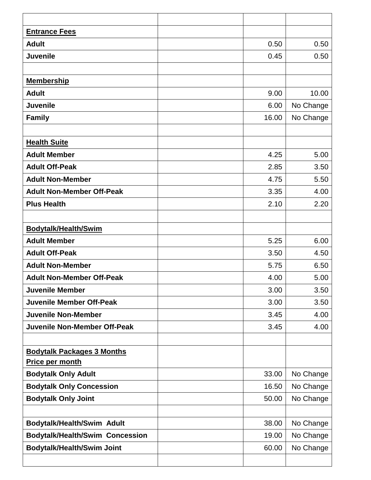| <b>Entrance Fees</b>                   |       |           |
|----------------------------------------|-------|-----------|
| <b>Adult</b>                           | 0.50  | 0.50      |
| <b>Juvenile</b>                        | 0.45  | 0.50      |
|                                        |       |           |
| <b>Membership</b>                      |       |           |
| <b>Adult</b>                           | 9.00  | 10.00     |
| <b>Juvenile</b>                        | 6.00  | No Change |
| <b>Family</b>                          | 16.00 | No Change |
|                                        |       |           |
| <b>Health Suite</b>                    |       |           |
| <b>Adult Member</b>                    | 4.25  | 5.00      |
| <b>Adult Off-Peak</b>                  | 2.85  | 3.50      |
| <b>Adult Non-Member</b>                | 4.75  | 5.50      |
| <b>Adult Non-Member Off-Peak</b>       | 3.35  | 4.00      |
| <b>Plus Health</b>                     | 2.10  | 2.20      |
|                                        |       |           |
| <b>Bodytalk/Health/Swim</b>            |       |           |
| <b>Adult Member</b>                    | 5.25  | 6.00      |
| <b>Adult Off-Peak</b>                  | 3.50  | 4.50      |
| <b>Adult Non-Member</b>                | 5.75  | 6.50      |
| <b>Adult Non-Member Off-Peak</b>       | 4.00  | 5.00      |
| <b>Juvenile Member</b>                 | 3.00  | 3.50      |
| <b>Juvenile Member Off-Peak</b>        | 3.00  | 3.50      |
| <b>Juvenile Non-Member</b>             | 3.45  | 4.00      |
| <b>Juvenile Non-Member Off-Peak</b>    | 3.45  | 4.00      |
|                                        |       |           |
| <b>Bodytalk Packages 3 Months</b>      |       |           |
| Price per month                        |       |           |
| <b>Bodytalk Only Adult</b>             | 33.00 | No Change |
| <b>Bodytalk Only Concession</b>        | 16.50 | No Change |
| <b>Bodytalk Only Joint</b>             | 50.00 | No Change |
|                                        |       |           |
| <b>Bodytalk/Health/Swim Adult</b>      | 38.00 | No Change |
| <b>Bodytalk/Health/Swim Concession</b> | 19.00 | No Change |
| <b>Bodytalk/Health/Swim Joint</b>      | 60.00 | No Change |
|                                        |       |           |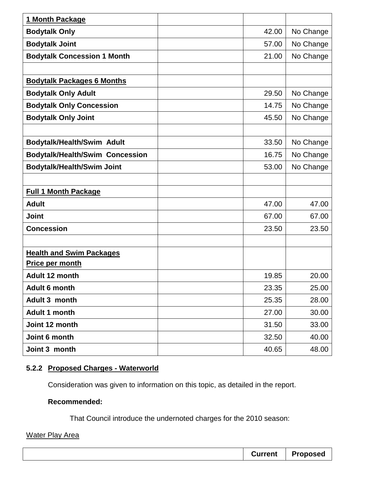| 1 Month Package                        |       |           |
|----------------------------------------|-------|-----------|
| <b>Bodytalk Only</b>                   | 42.00 | No Change |
| <b>Bodytalk Joint</b>                  | 57.00 | No Change |
| <b>Bodytalk Concession 1 Month</b>     | 21.00 | No Change |
|                                        |       |           |
| <b>Bodytalk Packages 6 Months</b>      |       |           |
| <b>Bodytalk Only Adult</b>             | 29.50 | No Change |
| <b>Bodytalk Only Concession</b>        | 14.75 | No Change |
| <b>Bodytalk Only Joint</b>             | 45.50 | No Change |
|                                        |       |           |
| <b>Bodytalk/Health/Swim Adult</b>      | 33.50 | No Change |
| <b>Bodytalk/Health/Swim Concession</b> | 16.75 | No Change |
| <b>Bodytalk/Health/Swim Joint</b>      | 53.00 | No Change |
|                                        |       |           |
| <b>Full 1 Month Package</b>            |       |           |
| <b>Adult</b>                           | 47.00 | 47.00     |
| <b>Joint</b>                           | 67.00 | 67.00     |
| <b>Concession</b>                      | 23.50 | 23.50     |
|                                        |       |           |
| <b>Health and Swim Packages</b>        |       |           |
| <b>Price per month</b>                 |       |           |
| Adult 12 month                         | 19.85 | 20.00     |
| <b>Adult 6 month</b>                   | 23.35 | 25.00     |
| Adult 3 month                          | 25.35 | 28.00     |
| Adult 1 month                          | 27.00 | 30.00     |
| Joint 12 month                         | 31.50 | 33.00     |
| Joint 6 month                          | 32.50 | 40.00     |
| Joint 3 month                          | 40.65 | 48.00     |

# **5.2.2 Proposed Charges - Waterworld**

Consideration was given to information on this topic, as detailed in the report.

# **Recommended:**

That Council introduce the undernoted charges for the 2010 season:

# Water Play Area

| <b>Current</b> | <b>Proposed</b> |
|----------------|-----------------|
|                |                 |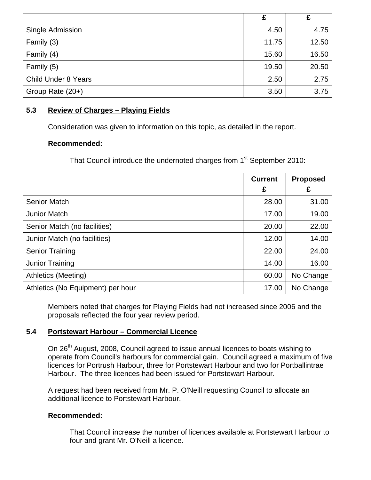|                            | £     |       |
|----------------------------|-------|-------|
| Single Admission           | 4.50  | 4.75  |
| Family (3)                 | 11.75 | 12.50 |
| Family (4)                 | 15.60 | 16.50 |
| Family (5)                 | 19.50 | 20.50 |
| <b>Child Under 8 Years</b> | 2.50  | 2.75  |
| Group Rate (20+)           | 3.50  | 3.75  |

## **5.3 Review of Charges – Playing Fields**

Consideration was given to information on this topic, as detailed in the report.

### **Recommended:**

That Council introduce the undernoted charges from 1<sup>st</sup> September 2010:

|                                   | <b>Current</b><br>£ | <b>Proposed</b><br>£ |
|-----------------------------------|---------------------|----------------------|
| <b>Senior Match</b>               | 28.00               | 31.00                |
| <b>Junior Match</b>               | 17.00               | 19.00                |
| Senior Match (no facilities)      | 20.00               | 22.00                |
| Junior Match (no facilities)      | 12.00               | 14.00                |
| <b>Senior Training</b>            | 22.00               | 24.00                |
| Junior Training                   | 14.00               | 16.00                |
| Athletics (Meeting)               | 60.00               | No Change            |
| Athletics (No Equipment) per hour | 17.00               | No Change            |

 Members noted that charges for Playing Fields had not increased since 2006 and the proposals reflected the four year review period.

### **5.4 Portstewart Harbour – Commercial Licence**

On 26<sup>th</sup> August, 2008, Council agreed to issue annual licences to boats wishing to operate from Council's harbours for commercial gain. Council agreed a maximum of five licences for Portrush Harbour, three for Portstewart Harbour and two for Portballintrae Harbour. The three licences had been issued for Portstewart Harbour.

 A request had been received from Mr. P. O'Neill requesting Council to allocate an additional licence to Portstewart Harbour.

#### **Recommended:**

 That Council increase the number of licences available at Portstewart Harbour to four and grant Mr. O'Neill a licence.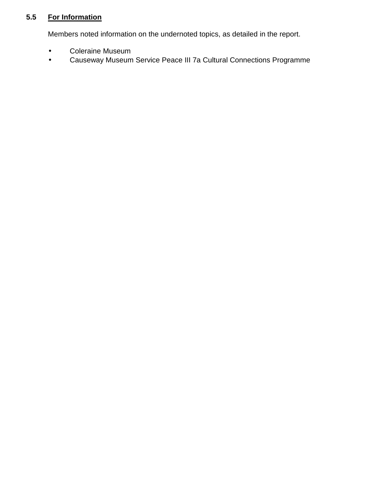# **5.5 For Information**

Members noted information on the undernoted topics, as detailed in the report.

- Coleraine Museum
- Causeway Museum Service Peace III 7a Cultural Connections Programme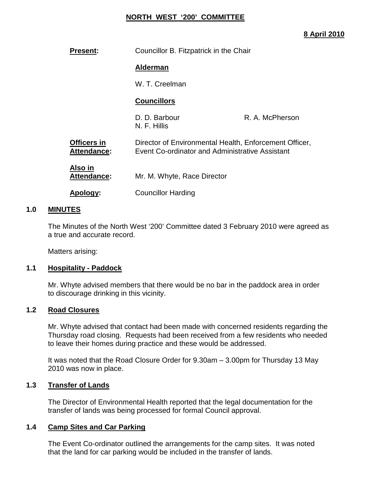### **NORTH WEST '200' COMMITTEE**

### **8 April 2010**

| <b>Present:</b>                          | Councillor B. Fitzpatrick in the Chair                                                                    |                 |
|------------------------------------------|-----------------------------------------------------------------------------------------------------------|-----------------|
|                                          | <b>Alderman</b>                                                                                           |                 |
|                                          | W. T. Creelman                                                                                            |                 |
|                                          | <b>Councillors</b>                                                                                        |                 |
|                                          | D. D. Barbour<br>N. F. Hillis                                                                             | R. A. McPherson |
| <b>Officers in</b><br><b>Attendance:</b> | Director of Environmental Health, Enforcement Officer,<br>Event Co-ordinator and Administrative Assistant |                 |
| Also in<br><b>Attendance:</b>            | Mr. M. Whyte, Race Director                                                                               |                 |
| Apology:                                 | <b>Councillor Harding</b>                                                                                 |                 |

#### **1.0 MINUTES**

 The Minutes of the North West '200' Committee dated 3 February 2010 were agreed as a true and accurate record.

Matters arising:

### **1.1 Hospitality - Paddock**

 Mr. Whyte advised members that there would be no bar in the paddock area in order to discourage drinking in this vicinity.

#### **1.2 Road Closures**

 Mr. Whyte advised that contact had been made with concerned residents regarding the Thursday road closing. Requests had been received from a few residents who needed to leave their homes during practice and these would be addressed.

 It was noted that the Road Closure Order for 9.30am – 3.00pm for Thursday 13 May 2010 was now in place.

#### **1.3 Transfer of Lands**

 The Director of Environmental Health reported that the legal documentation for the transfer of lands was being processed for formal Council approval.

#### **1.4 Camp Sites and Car Parking**

 The Event Co-ordinator outlined the arrangements for the camp sites. It was noted that the land for car parking would be included in the transfer of lands.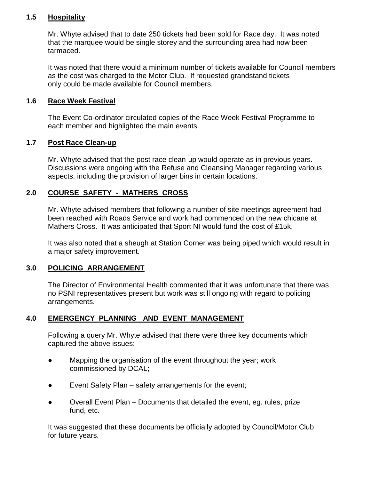### **1.5 Hospitality**

 Mr. Whyte advised that to date 250 tickets had been sold for Race day. It was noted that the marquee would be single storey and the surrounding area had now been tarmaced.

 It was noted that there would a minimum number of tickets available for Council members as the cost was charged to the Motor Club. If requested grandstand tickets only could be made available for Council members.

### **1.6 Race Week Festival**

 The Event Co-ordinator circulated copies of the Race Week Festival Programme to each member and highlighted the main events.

### **1.7 Post Race Clean-up**

 Mr. Whyte advised that the post race clean-up would operate as in previous years. Discussions were ongoing with the Refuse and Cleansing Manager regarding various aspects, including the provision of larger bins in certain locations.

### **2.0 COURSE SAFETY - MATHERS CROSS**

 Mr. Whyte advised members that following a number of site meetings agreement had been reached with Roads Service and work had commenced on the new chicane at Mathers Cross. It was anticipated that Sport NI would fund the cost of £15k.

 It was also noted that a sheugh at Station Corner was being piped which would result in a major safety improvement.

### **3.0 POLICING ARRANGEMENT**

 The Director of Environmental Health commented that it was unfortunate that there was no PSNI representatives present but work was still ongoing with regard to policing arrangements.

### **4.0 EMERGENCY PLANNING AND EVENT MANAGEMENT**

 Following a query Mr. Whyte advised that there were three key documents which captured the above issues:

- Mapping the organisation of the event throughout the year; work commissioned by DCAL;
- Event Safety Plan safety arrangements for the event;
- Overall Event Plan Documents that detailed the event, eg. rules, prize fund, etc.

 It was suggested that these documents be officially adopted by Council/Motor Club for future years.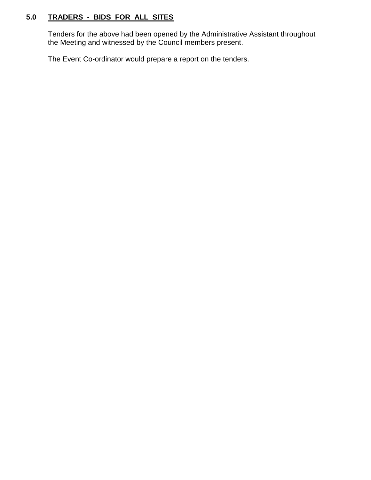# **5.0 TRADERS - BIDS FOR ALL SITES**

 Tenders for the above had been opened by the Administrative Assistant throughout the Meeting and witnessed by the Council members present.

The Event Co-ordinator would prepare a report on the tenders.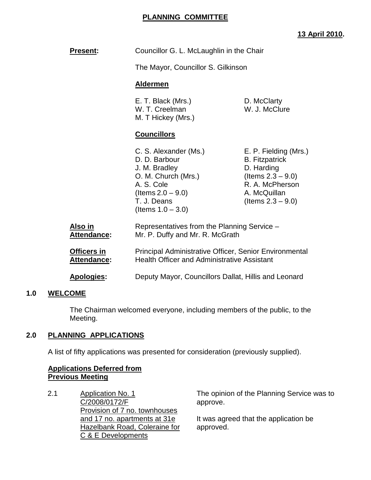### **PLANNING COMMITTEE**

## **13 April 2010.**

| <b>Present:</b>                      | Councillor G. L. McLaughlin in the Chair                                                                                                                    |                                                                                                                                                 |
|--------------------------------------|-------------------------------------------------------------------------------------------------------------------------------------------------------------|-------------------------------------------------------------------------------------------------------------------------------------------------|
|                                      | The Mayor, Councillor S. Gilkinson                                                                                                                          |                                                                                                                                                 |
|                                      | <b>Aldermen</b>                                                                                                                                             |                                                                                                                                                 |
|                                      | E. T. Black (Mrs.)<br>W. T. Creelman<br>M. T Hickey (Mrs.)                                                                                                  | D. McClarty<br>W. J. McClure                                                                                                                    |
|                                      | <b>Councillors</b>                                                                                                                                          |                                                                                                                                                 |
|                                      | C. S. Alexander (Ms.)<br>D. D. Barbour<br>J. M. Bradley<br>O. M. Church (Mrs.)<br>A. S. Cole<br>(Items $2.0 - 9.0$ )<br>T. J. Deans<br>(Items $1.0 - 3.0$ ) | E. P. Fielding (Mrs.)<br><b>B.</b> Fitzpatrick<br>D. Harding<br>(Items $2.3 - 9.0$ )<br>R. A. McPherson<br>A. McQuillan<br>(Items $2.3 - 9.0$ ) |
| <u>Also in</u><br><b>Attendance:</b> | Representatives from the Planning Service -<br>Mr. P. Duffy and Mr. R. McGrath                                                                              |                                                                                                                                                 |
| <b>Officers in</b>                   | Principal Administrative Officer, Senior Environmental                                                                                                      |                                                                                                                                                 |

 **Attendance:** Health Officer and Administrative Assistant

**Apologies:** Deputy Mayor, Councillors Dallat, Hillis and Leonard

#### **1.0 WELCOME**

 The Chairman welcomed everyone, including members of the public, to the Meeting.

### **2.0 PLANNING APPLICATIONS**

A list of fifty applications was presented for consideration (previously supplied).

#### **Applications Deferred from Previous Meeting**

2.1 Application No. 1 C/2008/0172/F Provision of 7 no. townhouses and 17 no. apartments at 31e Hazelbank Road, Coleraine for C & E Developments

The opinion of the Planning Service was to approve.

It was agreed that the application be approved.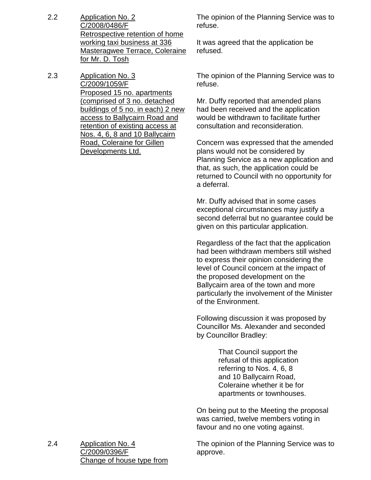- 2.2 Application No. 2 C/2008/0486/F Retrospective retention of home working taxi business at 336 Masteragwee Terrace, Coleraine for Mr. D. Tosh
- 2.3 Application No. 3 C/2009/1059/F Proposed 15 no. apartments (comprised of 3 no. detached buildings of  $\overline{5}$  no. in each) 2 new access to Ballycairn Road and retention of existing access at Nos. 4, 6, 8 and 10 Ballycairn Road, Coleraine for Gillen Developments Ltd.

The opinion of the Planning Service was to refuse.

It was agreed that the application be refused.

The opinion of the Planning Service was to refuse.

Mr. Duffy reported that amended plans had been received and the application would be withdrawn to facilitate further consultation and reconsideration.

Concern was expressed that the amended plans would not be considered by Planning Service as a new application and that, as such, the application could be returned to Council with no opportunity for a deferral.

Mr. Duffy advised that in some cases exceptional circumstances may justify a second deferral but no guarantee could be given on this particular application.

Regardless of the fact that the application had been withdrawn members still wished to express their opinion considering the level of Council concern at the impact of the proposed development on the Ballycairn area of the town and more particularly the involvement of the Minister of the Environment.

Following discussion it was proposed by Councillor Ms. Alexander and seconded by Councillor Bradley:

> That Council support the refusal of this application referring to Nos. 4, 6, 8 and 10 Ballycairn Road, Coleraine whether it be for apartments or townhouses.

On being put to the Meeting the proposal was carried, twelve members voting in favour and no one voting against.

The opinion of the Planning Service was to approve.

2.4 Application No. 4 C/2009/0396/F Change of house type from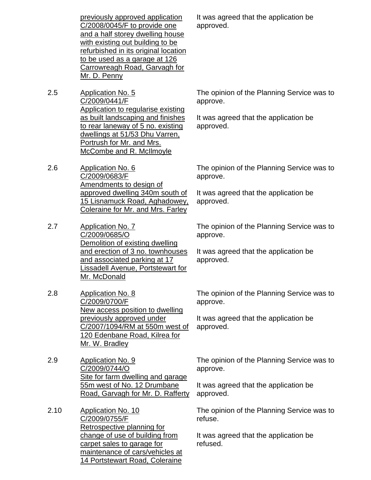previously approved application C/2008/0045/F to provide one and a half storey dwelling house with existing out building to be refurbished in its original location to be used as a garage at 126 Carrowreagh Road, Garvagh for Mr. D. Penny

2.5 Application No. 5 C/2009/0441/F Application to regularise existing as built landscaping and finishes to rear laneway of 5 no. existing dwellings at 51/53 Dhu Varren, Portrush for Mr. and Mrs. McCombe and R. McIlmoyle

The opinion of the Planning Service was to approve.

It was agreed that the application be approved.

2.6 Application No. 6 C/2009/0683/F Amendments to design of approved dwelling 340m south of 15 Lisnamuck Road, Aghadowey, Coleraine for Mr. and Mrs. Farley

2.7 Application No. 7 C/2009/0685/O Demolition of existing dwelling and erection of 3 no. townhouses and associated parking at 17 Lissadell Avenue, Portstewart for Mr. McDonald

2.8 Application No. 8 C/2009/0700/F New access position to dwelling previously approved under C/2007/1094/RM at 550m west of 120 Edenbane Road, Kilrea for Mr. W. Bradley

2.9 Application No. 9 C/2009/0744/O Site for farm dwelling and garage 55m west of No. 12 Drumbane Road, Garvagh for Mr. D. Rafferty

2.10 Application No. 10 C/2009/0755/F Retrospective planning for change of use of building from carpet sales to garage for maintenance of cars/vehicles at 14 Portstewart Road, Coleraine

The opinion of the Planning Service was to approve.

It was agreed that the application be approved.

The opinion of the Planning Service was to approve.

It was agreed that the application be approved.

The opinion of the Planning Service was to approve.

It was agreed that the application be approved.

The opinion of the Planning Service was to approve.

It was agreed that the application be approved.

The opinion of the Planning Service was to refuse.

It was agreed that the application be refused.

It was agreed that the application be approved.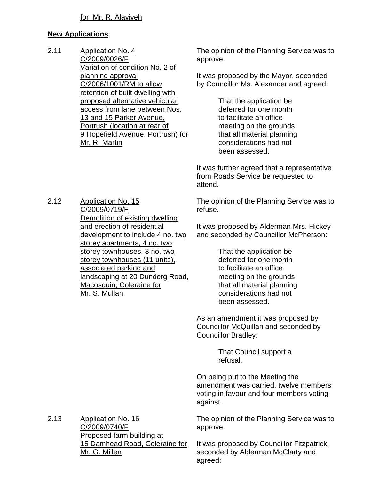#### **New Applications**

2.11 Application No. 4 C/2009/0026/F Variation of condition No. 2 of planning approval C/2006/1001/RM to allow retention of built dwelling with proposed alternative vehicular access from lane between Nos. 13 and 15 Parker Avenue, Portrush (location at rear of 9 Hopefield Avenue, Portrush) for Mr. R. Martin

The opinion of the Planning Service was to approve.

It was proposed by the Mayor, seconded by Councillor Ms. Alexander and agreed:

> That the application be deferred for one month to facilitate an office meeting on the grounds that all material planning considerations had not been assessed.

It was further agreed that a representative from Roads Service be requested to attend.

2.12 Application No. 15 C/2009/0719/F Demolition of existing dwelling and erection of residential development to include 4 no. two storey apartments, 4 no. two storey townhouses, 3 no. two storey townhouses (11 units), associated parking and landscaping at 20 Dunderg Road, Macosquin, Coleraine for Mr. S. Mullan

The opinion of the Planning Service was to refuse.

It was proposed by Alderman Mrs. Hickey and seconded by Councillor McPherson:

> That the application be deferred for one month to facilitate an office meeting on the grounds that all material planning considerations had not been assessed.

As an amendment it was proposed by Councillor McQuillan and seconded by Councillor Bradley:

> That Council support a refusal.

On being put to the Meeting the amendment was carried, twelve members voting in favour and four members voting against.

The opinion of the Planning Service was to approve.

It was proposed by Councillor Fitzpatrick, seconded by Alderman McClarty and agreed:

2.13 Application No. 16 C/2009/0740/F Proposed farm building at 15 Damhead Road, Coleraine for Mr. G. Millen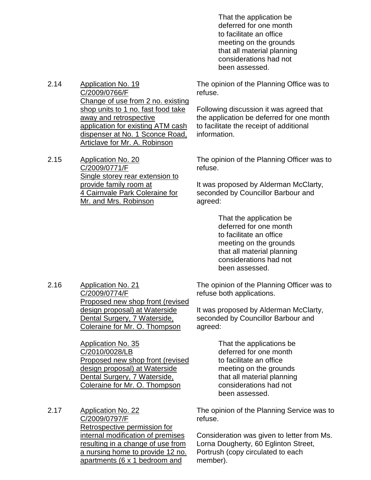That the application be deferred for one month to facilitate an office meeting on the grounds that all material planning considerations had not been assessed.

- 2.14 Application No. 19 C/2009/0766/F Change of use from 2 no. existing shop units to 1 no. fast food take away and retrospective application for existing ATM cash dispenser at No. 1 Sconce Road, Articlave for Mr. A. Robinson
- 2.15 Application No. 20 C/2009/0771/F Single storey rear extension to provide family room at 4 Cairnvale Park Coleraine for Mr. and Mrs. Robinson

The opinion of the Planning Office was to refuse.

Following discussion it was agreed that the application be deferred for one month to facilitate the receipt of additional information.

The opinion of the Planning Officer was to refuse.

It was proposed by Alderman McClarty, seconded by Councillor Barbour and agreed:

> That the application be deferred for one month to facilitate an office meeting on the grounds that all material planning considerations had not been assessed.

2.16 Application No. 21 C/2009/0774/F Proposed new shop front (revised design proposal) at Waterside Dental Surgery, 7 Waterside, Coleraine for Mr. O. Thompson

> Application No. 35 C/2010/0028/LB Proposed new shop front (revised design proposal) at Waterside Dental Surgery, 7 Waterside, Coleraine for Mr. O. Thompson

2.17 Application No. 22 C/2009/0797/F Retrospective permission for internal modification of premises resulting in a change of use from a nursing home to provide 12 no. apartments (6 x 1 bedroom and

The opinion of the Planning Officer was to refuse both applications.

It was proposed by Alderman McClarty, seconded by Councillor Barbour and agreed:

> That the applications be deferred for one month to facilitate an office meeting on the grounds that all material planning considerations had not been assessed.

The opinion of the Planning Service was to refuse.

Consideration was given to letter from Ms. Lorna Dougherty, 60 Eglinton Street, Portrush (copy circulated to each member).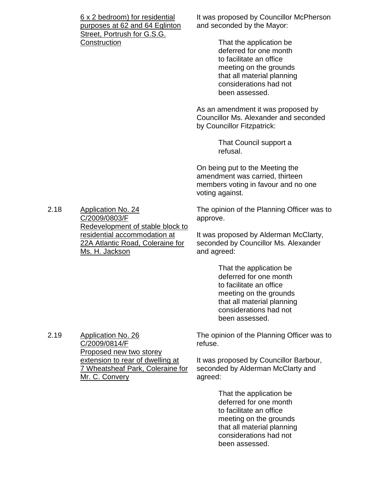| 6 x 2 bedroom) for residential |  |  |
|--------------------------------|--|--|
| purposes at 62 and 64 Eglinton |  |  |
| Street, Portrush for G.S.G.    |  |  |
| Construction                   |  |  |
|                                |  |  |

It was proposed by Councillor McPherson and seconded by the Mayor:

> That the application be deferred for one month to facilitate an office meeting on the grounds that all material planning considerations had not been assessed.

As an amendment it was proposed by Councillor Ms. Alexander and seconded by Councillor Fitzpatrick:

> That Council support a refusal.

On being put to the Meeting the amendment was carried, thirteen members voting in favour and no one voting against.

The opinion of the Planning Officer was to approve.

It was proposed by Alderman McClarty, seconded by Councillor Ms. Alexander and agreed:

> That the application be deferred for one month to facilitate an office meeting on the grounds that all material planning considerations had not been assessed.

2.19 Application No. 26 C/2009/0814/F Proposed new two storey extension to rear of dwelling at 7 Wheatsheaf Park, Coleraine for Mr. C. Convery

The opinion of the Planning Officer was to refuse.

It was proposed by Councillor Barbour, seconded by Alderman McClarty and agreed:

> That the application be deferred for one month to facilitate an office meeting on the grounds that all material planning considerations had not been assessed.

2.18 Application No. 24 C/2009/0803/F Redevelopment of stable block to residential accommodation at 22A Atlantic Road, Coleraine for Ms. H. Jackson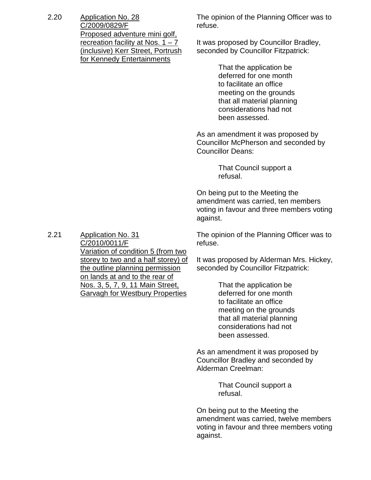2.20 Application No. 28 C/2009/0829/F Proposed adventure mini golf, recreation facility at Nos.  $1 - 7$ (inclusive) Kerr Street, Portrush for Kennedy Entertainments The opinion of the Planning Officer was to refuse. It was proposed by Councillor Bradley, seconded by Councillor Fitzpatrick: That the application be deferred for one month to facilitate an office meeting on the grounds that all material planning considerations had not been assessed. As an amendment it was proposed by Councillor McPherson and seconded by Councillor Deans: That Council support a refusal. On being put to the Meeting the amendment was carried, ten members voting in favour and three members voting against. 2.21 Application No. 31 C/2010/0011/F Variation of condition 5 (from two storey to two and a half storey) of the outline planning permission on lands at and to the rear of Nos. 3, 5, 7, 9, 11 Main Street, Garvagh for Westbury Properties The opinion of the Planning Officer was to refuse. It was proposed by Alderman Mrs. Hickey, seconded by Councillor Fitzpatrick: That the application be deferred for one month to facilitate an office meeting on the grounds

 that all material planning considerations had not been assessed.

As an amendment it was proposed by Councillor Bradley and seconded by Alderman Creelman:

> That Council support a refusal.

On being put to the Meeting the amendment was carried, twelve members voting in favour and three members voting against.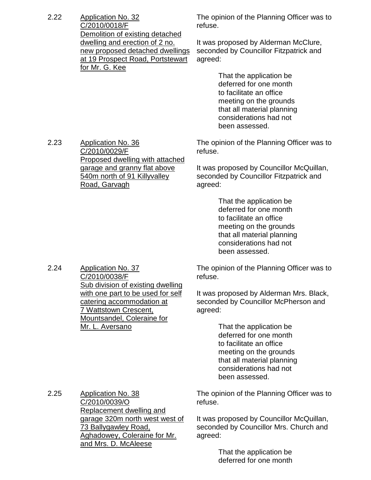2.22 Application No. 32 C/2010/0018/F Demolition of existing detached dwelling and erection of 2 no. new proposed detached dwellings at 19 Prospect Road, Portstewart for Mr. G. Kee

The opinion of the Planning Officer was to refuse.

It was proposed by Alderman McClure, seconded by Councillor Fitzpatrick and agreed:

> That the application be deferred for one month to facilitate an office meeting on the grounds that all material planning considerations had not been assessed.

2.23 Application No. 36 C/2010/0029/F Proposed dwelling with attached garage and granny flat above 540m north of 91 Killyvalley Road, Garvagh

The opinion of the Planning Officer was to refuse.

It was proposed by Councillor McQuillan, seconded by Councillor Fitzpatrick and agreed:

> That the application be deferred for one month to facilitate an office meeting on the grounds that all material planning considerations had not been assessed.

The opinion of the Planning Officer was to refuse.

It was proposed by Alderman Mrs. Black, seconded by Councillor McPherson and agreed:

> That the application be deferred for one month to facilitate an office meeting on the grounds that all material planning considerations had not been assessed.

2.25 Application No. 38 C/2010/0039/O Replacement dwelling and garage 320m north west west of 73 Ballygawley Road, Aghadowey, Coleraine for Mr. and Mrs. D. McAleese

The opinion of the Planning Officer was to refuse.

It was proposed by Councillor McQuillan, seconded by Councillor Mrs. Church and agreed:

> That the application be deferred for one month

2.24 Application No. 37 C/2010/0038/F Sub division of existing dwelling with one part to be used for self catering accommodation at 7 Wattstown Crescent, Mountsandel, Coleraine for Mr. L. Aversano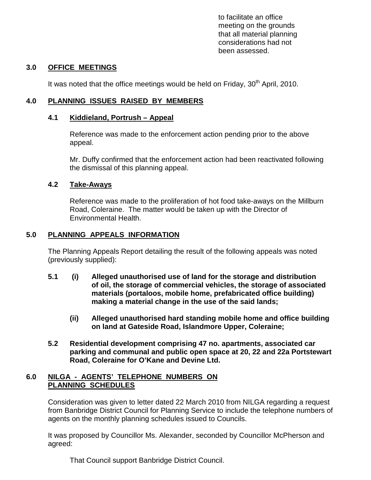to facilitate an office meeting on the grounds that all material planning considerations had not been assessed.

### **3.0 OFFICE MEETINGS**

It was noted that the office meetings would be held on Friday, 30<sup>th</sup> April, 2010.

## **4.0 PLANNING ISSUES RAISED BY MEMBERS**

### **4.1 Kiddieland, Portrush – Appeal**

 Reference was made to the enforcement action pending prior to the above appeal.

 Mr. Duffy confirmed that the enforcement action had been reactivated following the dismissal of this planning appeal.

### **4.2 Take-Aways**

 Reference was made to the proliferation of hot food take-aways on the Millburn Road, Coleraine. The matter would be taken up with the Director of Environmental Health.

# **5.0 PLANNING APPEALS INFORMATION**

 The Planning Appeals Report detailing the result of the following appeals was noted (previously supplied):

- **5.1 (i) Alleged unauthorised use of land for the storage and distribution of oil, the storage of commercial vehicles, the storage of associated materials (portaloos, mobile home, prefabricated office building) making a material change in the use of the said lands;** 
	- **(ii) Alleged unauthorised hard standing mobile home and office building on land at Gateside Road, Islandmore Upper, Coleraine;**
- **5.2 Residential development comprising 47 no. apartments, associated car parking and communal and public open space at 20, 22 and 22a Portstewart Road, Coleraine for O'Kane and Devine Ltd.**

### **6.0 NILGA - AGENTS' TELEPHONE NUMBERS ON PLANNING SCHEDULES**

 Consideration was given to letter dated 22 March 2010 from NILGA regarding a request from Banbridge District Council for Planning Service to include the telephone numbers of agents on the monthly planning schedules issued to Councils.

 It was proposed by Councillor Ms. Alexander, seconded by Councillor McPherson and agreed:

That Council support Banbridge District Council.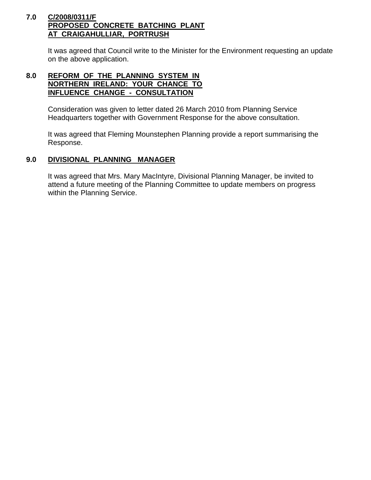#### **7.0 C/2008/0311/F PROPOSED CONCRETE BATCHING PLANT AT CRAIGAHULLIAR, PORTRUSH**

 It was agreed that Council write to the Minister for the Environment requesting an update on the above application.

### **8.0 REFORM OF THE PLANNING SYSTEM IN NORTHERN IRELAND: YOUR CHANCE TO INFLUENCE CHANGE - CONSULTATION**

 Consideration was given to letter dated 26 March 2010 from Planning Service Headquarters together with Government Response for the above consultation.

 It was agreed that Fleming Mounstephen Planning provide a report summarising the Response.

### **9.0 DIVISIONAL PLANNING MANAGER**

 It was agreed that Mrs. Mary MacIntyre, Divisional Planning Manager, be invited to attend a future meeting of the Planning Committee to update members on progress within the Planning Service.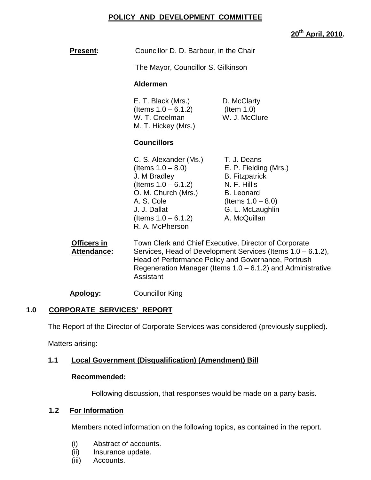### **POLICY AND DEVELOPMENT COMMITTEE**

#### **20th April, 2010.**

| <b>Present:</b> | Councillor D. D. Barbour, in the Chair |
|-----------------|----------------------------------------|
|                 |                                        |

The Mayor, Councillor S. Gilkinson

#### **Aldermen**

E. T. Black (Mrs.) D. McClarty  $($ ltems  $1.0 - 6.1.2)$  (Item 1.0) W. T. Creelman W. J. McClure M. T. Hickey (Mrs.)

#### **Councillors**

- C. S. Alexander (Ms.) T. J. Deans  $($ ltems  $1.0 - 8.0$ ) E. P. Fielding  $(Mrs.)$ J. M Bradley B. Fitzpatrick  $($ ltems  $1.0 - 6.1.2)$  N. F. Hillis O. M. Church (Mrs.) B. Leonard A. S. Cole  $($ Items  $1.0 - 8.0)$ J. J. Dallat G. L. McLaughlin  $($ ltems  $1.0 - 6.1.2)$  A. McQuillan R. A. McPherson
	-

**Officers in** Town Clerk and Chief Executive, Director of Corporate **Attendance:** Services, Head of Development Services (Items 1.0 – 6.1.2), Head of Performance Policy and Governance, Portrush Regeneration Manager (Items 1.0 – 6.1.2) and Administrative Assistant

**Apology:** Councillor King

#### **1.0 CORPORATE SERVICES' REPORT**

The Report of the Director of Corporate Services was considered (previously supplied).

Matters arising:

#### **1.1 Local Government (Disqualification) (Amendment) Bill**

#### **Recommended:**

Following discussion, that responses would be made on a party basis.

#### **1.2 For Information**

Members noted information on the following topics, as contained in the report.

- (i) Abstract of accounts.
- (ii) Insurance update.
- (iii) Accounts.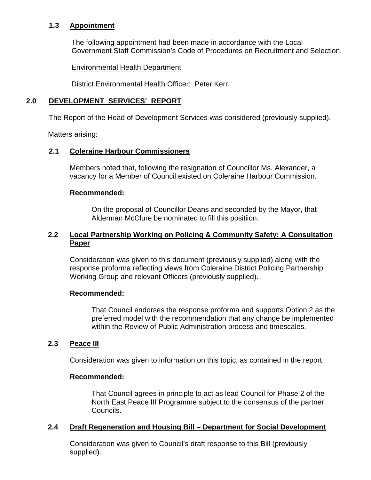#### **1.3 Appointment**

The following appointment had been made in accordance with the Local Government Staff Commission's Code of Procedures on Recruitment and Selection.

Environmental Health Department

District Environmental Health Officer: Peter Kerr.

### **2.0 DEVELOPMENT SERVICES' REPORT**

The Report of the Head of Development Services was considered (previously supplied).

Matters arising:

### **2.1 Coleraine Harbour Commissioners**

Members noted that, following the resignation of Councillor Ms. Alexander, a vacancy for a Member of Council existed on Coleraine Harbour Commission.

#### **Recommended:**

 On the proposal of Councillor Deans and seconded by the Mayor, that Alderman McClure be nominated to fill this positiion.

### **2.2 Local Partnership Working on Policing & Community Safety: A Consultation Paper**

 Consideration was given to this document (previously supplied) along with the response proforma reflecting views from Coleraine District Policing Partnership Working Group and relevant Officers (previously supplied).

#### **Recommended:**

 That Council endorses the response proforma and supports Option 2 as the preferred model with the recommendation that any change be implemented within the Review of Public Administration process and timescales.

#### **2.3 Peace III**

Consideration was given to information on this topic, as contained in the report.

#### **Recommended:**

That Council agrees in principle to act as lead Council for Phase 2 of the North East Peace III Programme subject to the consensus of the partner Councils.

#### **2.4 Draft Regeneration and Housing Bill – Department for Social Development**

 Consideration was given to Council's draft response to this Bill (previously supplied).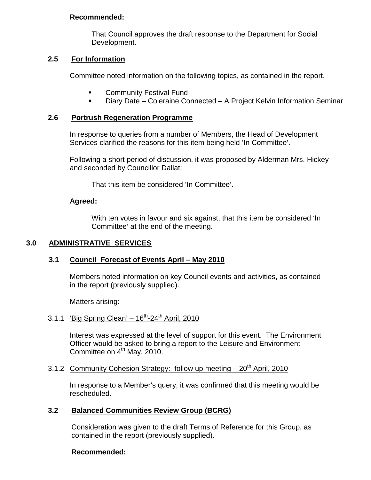### **Recommended:**

That Council approves the draft response to the Department for Social Development.

### **2.5 For Information**

Committee noted information on the following topics, as contained in the report.

- **EXECOMMUNITY Festival Fund**
- Diary Date Coleraine Connected A Project Kelvin Information Seminar

#### **2.6 Portrush Regeneration Programme**

 In response to queries from a number of Members, the Head of Development Services clarified the reasons for this item being held 'In Committee'.

Following a short period of discussion, it was proposed by Alderman Mrs. Hickey and seconded by Councillor Dallat:

That this item be considered 'In Committee'.

#### **Agreed:**

With ten votes in favour and six against, that this item be considered 'In Committee' at the end of the meeting.

#### **3.0 ADMINISTRATIVE SERVICES**

#### **3.1 Council Forecast of Events April – May 2010**

Members noted information on key Council events and activities, as contained in the report (previously supplied).

Matters arising:

# 3.1.1 'Big Spring Clean'  $-16^{th}$ -24<sup>th</sup> April, 2010

Interest was expressed at the level of support for this event. The Environment Officer would be asked to bring a report to the Leisure and Environment Committee on  $4<sup>th</sup>$  May, 2010.

#### 3.1.2 Community Cohesion Strategy: follow up meeting  $-20<sup>th</sup>$  April, 2010

In response to a Member's query, it was confirmed that this meeting would be rescheduled.

#### **3.2 Balanced Communities Review Group (BCRG)**

Consideration was given to the draft Terms of Reference for this Group, as contained in the report (previously supplied).

#### **Recommended:**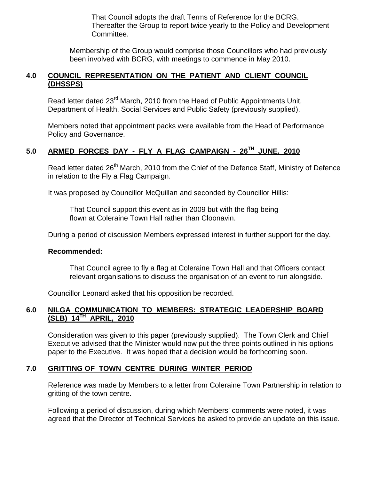That Council adopts the draft Terms of Reference for the BCRG. Thereafter the Group to report twice yearly to the Policy and Development Committee.

 Membership of the Group would comprise those Councillors who had previously been involved with BCRG, with meetings to commence in May 2010.

### **4.0 COUNCIL REPRESENTATION ON THE PATIENT AND CLIENT COUNCIL (DHSSPS)**

Read letter dated 23<sup>rd</sup> March, 2010 from the Head of Public Appointments Unit, Department of Health, Social Services and Public Safety (previously supplied).

Members noted that appointment packs were available from the Head of Performance Policy and Governance.

# **5.0 ARMED FORCES DAY - FLY A FLAG CAMPAIGN - 26TH JUNE, 2010**

Read letter dated 26<sup>th</sup> March, 2010 from the Chief of the Defence Staff, Ministry of Defence in relation to the Fly a Flag Campaign.

It was proposed by Councillor McQuillan and seconded by Councillor Hillis:

 That Council support this event as in 2009 but with the flag being flown at Coleraine Town Hall rather than Cloonavin.

During a period of discussion Members expressed interest in further support for the day.

#### **Recommended:**

That Council agree to fly a flag at Coleraine Town Hall and that Officers contact relevant organisations to discuss the organisation of an event to run alongside.

Councillor Leonard asked that his opposition be recorded.

#### **6.0 NILGA COMMUNICATION TO MEMBERS: STRATEGIC LEADERSHIP BOARD (SLB) 14TH APRIL, 2010**

Consideration was given to this paper (previously supplied). The Town Clerk and Chief Executive advised that the Minister would now put the three points outlined in his options paper to the Executive. It was hoped that a decision would be forthcoming soon.

#### **7.0 GRITTING OF TOWN CENTRE DURING WINTER PERIOD**

Reference was made by Members to a letter from Coleraine Town Partnership in relation to gritting of the town centre.

Following a period of discussion, during which Members' comments were noted, it was agreed that the Director of Technical Services be asked to provide an update on this issue.